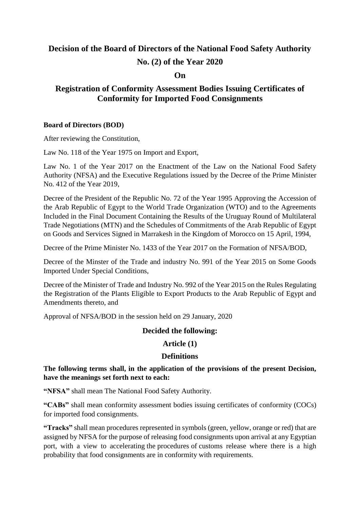## **Decision of the Board of Directors of the National Food Safety Authority**

### **No. (2) of the Year 2020**

### **On**

## **Registration of Conformity Assessment Bodies Issuing Certificates of Conformity for Imported Food Consignments**

#### **Board of Directors (BOD)**

After reviewing the Constitution,

Law No. 118 of the Year 1975 on Import and Export,

Law No. 1 of the Year 2017 on the Enactment of the Law on the National Food Safety Authority (NFSA) and the Executive Regulations issued by the Decree of the Prime Minister No. 412 of the Year 2019,

Decree of the President of the Republic No. 72 of the Year 1995 Approving the Accession of the Arab Republic of Egypt to the World Trade Organization (WTO) and to the Agreements Included in the Final Document Containing the Results of the Uruguay Round of Multilateral Trade Negotiations (MTN) and the Schedules of Commitments of the Arab Republic of Egypt on Goods and Services Signed in Marrakesh in the Kingdom of Morocco on 15 April, 1994,

Decree of the Prime Minister No. 1433 of the Year 2017 on the Formation of NFSA/BOD,

Decree of the Minster of the Trade and industry No. 991 of the Year 2015 on Some Goods Imported Under Special Conditions,

Decree of the Minister of Trade and Industry No. 992 of the Year 2015 on the Rules Regulating the Registration of the Plants Eligible to Export Products to the Arab Republic of Egypt and Amendments thereto, and

Approval of NFSA/BOD in the session held on 29 January, 2020

### **Decided the following:**

### **Article (1)**

### **Definitions**

**The following terms shall, in the application of the provisions of the present Decision, have the meanings set forth next to each:**

**"NFSA"** shall mean The National Food Safety Authority.

**"CABs"** shall mean conformity assessment bodies issuing certificates of conformity (COCs) for imported food consignments.

**"Tracks"** shall mean procedures represented in symbols (green, yellow, orange or red) that are assigned by NFSA for the purpose of releasing food consignments upon arrival at any Egyptian port, with a view to accelerating the procedures of customs release where there is a high probability that food consignments are in conformity with requirements.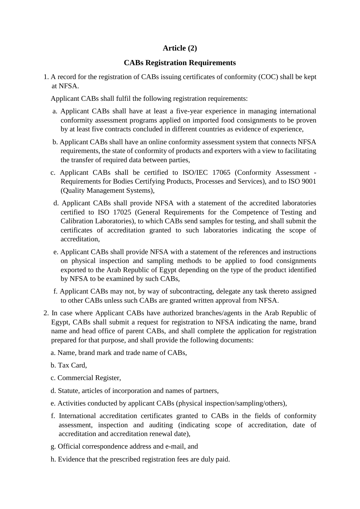## **Article (2)**

### **CABs Registration Requirements**

1. A record for the registration of CABs issuing certificates of conformity (COC) shall be kept at NFSA.

Applicant CABs shall fulfil the following registration requirements:

- a. Applicant CABs shall have at least a five-year experience in managing international conformity assessment programs applied on imported food consignments to be proven by at least five contracts concluded in different countries as evidence of experience,
- b. Applicant CABs shall have an online conformity assessment system that connects NFSA requirements, the state of conformity of products and exporters with a view to facilitating the transfer of required data between parties,
- c. Applicant CABs shall be certified to ISO/IEC 17065 (Conformity Assessment Requirements for Bodies Certifying Products, Processes and Services), and to ISO 9001 (Quality Management Systems),
- d. Applicant CABs shall provide NFSA with a statement of the accredited laboratories certified to ISO 17025 (General Requirements for the Competence of Testing and Calibration Laboratories), to which CABs send samples for testing, and shall submit the certificates of accreditation granted to such laboratories indicating the scope of accreditation,
- e. Applicant CABs shall provide NFSA with a statement of the references and instructions on physical inspection and sampling methods to be applied to food consignments exported to the Arab Republic of Egypt depending on the type of the product identified by NFSA to be examined by such CABs,
- f. Applicant CABs may not, by way of subcontracting, delegate any task thereto assigned to other CABs unless such CABs are granted written approval from NFSA.
- 2. In case where Applicant CABs have authorized branches/agents in the Arab Republic of Egypt, CABs shall submit a request for registration to NFSA indicating the name, brand name and head office of parent CABs, and shall complete the application for registration prepared for that purpose, and shall provide the following documents:
	- a. Name, brand mark and trade name of CABs,
	- b. Tax Card,
	- c. Commercial Register,
	- d. Statute, articles of incorporation and names of partners,
	- e. Activities conducted by applicant CABs (physical inspection/sampling/others),
	- f. International accreditation certificates granted to CABs in the fields of conformity assessment, inspection and auditing (indicating scope of accreditation, date of accreditation and accreditation renewal date),
	- g. Official correspondence address and e-mail, and
	- h. Evidence that the prescribed registration fees are duly paid.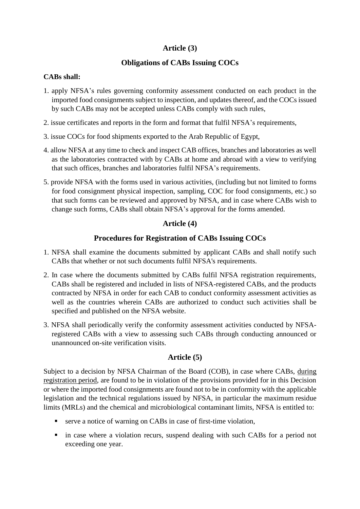## **Article (3)**

## **Obligations of CABs Issuing COCs**

### **CABs shall:**

- 1. apply NFSA's rules governing conformity assessment conducted on each product in the imported food consignments subject to inspection, and updates thereof, and the COCs issued by such CABs may not be accepted unless CABs comply with such rules,
- 2. issue certificates and reports in the form and format that fulfil NFSA's requirements,
- 3. issue COCs for food shipments exported to the Arab Republic of Egypt,
- 4. allow NFSA at any time to check and inspect CAB offices, branches and laboratories as well as the laboratories contracted with by CABs at home and abroad with a view to verifying that such offices, branches and laboratories fulfil NFSA's requirements.
- 5. provide NFSA with the forms used in various activities, (including but not limited to forms for food consignment physical inspection, sampling, COC for food consignments, etc.) so that such forms can be reviewed and approved by NFSA, and in case where CABs wish to change such forms, CABs shall obtain NFSA's approval for the forms amended.

## **Article (4)**

## **Procedures for Registration of CABs Issuing COCs**

- 1. NFSA shall examine the documents submitted by applicant CABs and shall notify such CABs that whether or not such documents fulfil NFSA's requirements.
- 2. In case where the documents submitted by CABs fulfil NFSA registration requirements, CABs shall be registered and included in lists of NFSA-registered CABs, and the products contracted by NFSA in order for each CAB to conduct conformity assessment activities as well as the countries wherein CABs are authorized to conduct such activities shall be specified and published on the NFSA website.
- 3. NFSA shall periodically verify the conformity assessment activities conducted by NFSAregistered CABs with a view to assessing such CABs through conducting announced or unannounced on-site verification visits.

### **Article (5)**

Subject to a decision by NFSA Chairman of the Board (COB), in case where CABs, during registration period, are found to be in violation of the provisions provided for in this Decision or where the imported food consignments are found not to be in conformity with the applicable legislation and the technical regulations issued by NFSA, in particular the maximum residue limits (MRLs) and the chemical and microbiological contaminant limits, NFSA is entitled to:

- serve a notice of warning on CABs in case of first-time violation,
- in case where a violation recurs, suspend dealing with such CABs for a period not exceeding one year.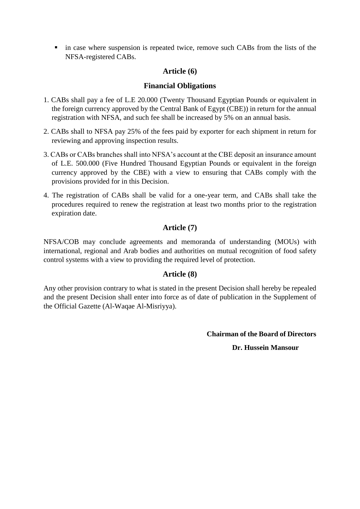in case where suspension is repeated twice, remove such CABs from the lists of the NFSA-registered CABs.

### **Article (6)**

### **Financial Obligations**

- 1. CABs shall pay a fee of L.E 20.000 (Twenty Thousand Egyptian Pounds or equivalent in the foreign currency approved by the Central Bank of Egypt (CBE)) in return for the annual registration with NFSA, and such fee shall be increased by 5% on an annual basis.
- 2. CABs shall to NFSA pay 25% of the fees paid by exporter for each shipment in return for reviewing and approving inspection results.
- 3. CABs or CABs branches shall into NFSA's account at the CBE deposit an insurance amount of L.E. 500.000 (Five Hundred Thousand Egyptian Pounds or equivalent in the foreign currency approved by the CBE) with a view to ensuring that CABs comply with the provisions provided for in this Decision.
- 4. The registration of CABs shall be valid for a one-year term, and CABs shall take the procedures required to renew the registration at least two months prior to the registration expiration date.

## **Article (7)**

NFSA/COB may conclude agreements and memoranda of understanding (MOUs) with international, regional and Arab bodies and authorities on mutual recognition of food safety control systems with a view to providing the required level of protection.

### **Article (8)**

Any other provision contrary to what is stated in the present Decision shall hereby be repealed and the present Decision shall enter into force as of date of publication in the Supplement of the Official Gazette (Al-Waqae Al-Misriyya).

**Chairman of the Board of Directors**

 **Dr. Hussein Mansour**